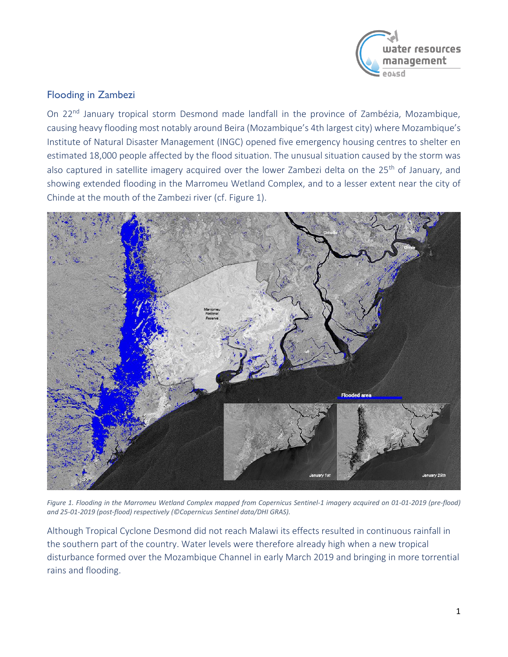

## Flooding in Zambezi

On 22<sup>nd</sup> January tropical storm Desmond made landfall in the province of Zambézia, Mozambique, causing heavy flooding most notably around Beira (Mozambique's 4th largest city) where Mozambique's Institute of Natural Disaster Management (INGC) opened five emergency housing centres to shelter en estimated 18,000 people affected by the flood situation. The unusual situation caused by the storm was also captured in satellite imagery acquired over the lower Zambezi delta on the 25<sup>th</sup> of January, and showing extended flooding in the Marromeu Wetland Complex, and to a lesser extent near the city of Chinde at the mouth of the Zambezi river (cf. [Figure 1\)](#page-0-0).



<span id="page-0-0"></span>*Figure 1. Flooding in the Marromeu Wetland Complex mapped from Copernicus Sentinel-1 imagery acquired on 01-01-2019 (pre-flood) and 25-01-2019 (post-flood) respectively (©Copernicus Sentinel data/DHI GRAS).*

Although Tropical Cyclone Desmond did not reach Malawi its effects resulted in continuous rainfall in the southern part of the country. Water levels were therefore already high when a new tropical disturbance formed over the Mozambique Channel in early March 2019 and bringing in more torrential rains and flooding.